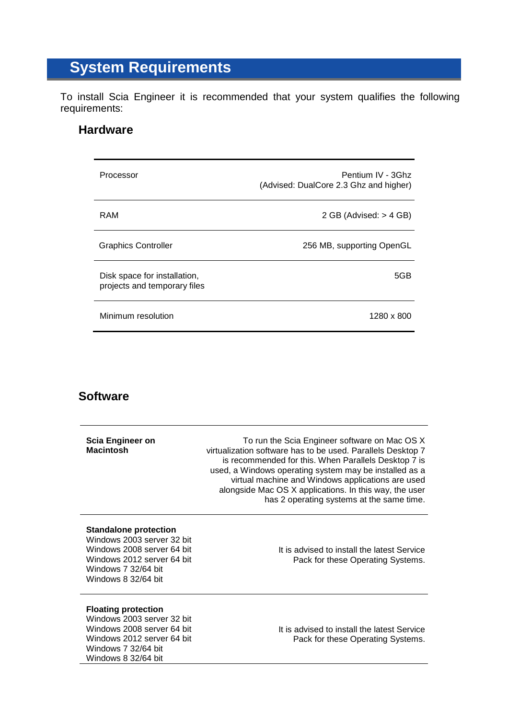## **System Requirements**

To install Scia Engineer it is recommended that your system qualifies the following requirements:

## **Hardware**

| Processor                                                    | Pentium IV - 3Ghz<br>(Advised: DualCore 2.3 Ghz and higher) |
|--------------------------------------------------------------|-------------------------------------------------------------|
| RAM                                                          | 2 GB (Advised: $>$ 4 GB)                                    |
| <b>Graphics Controller</b>                                   | 256 MB, supporting OpenGL                                   |
| Disk space for installation,<br>projects and temporary files | 5GB                                                         |
| Minimum resolution                                           | 1280 x 800                                                  |

## **Software**

| Scia Engineer on<br><b>Macintosh</b>                                                                                                                                 | To run the Scia Engineer software on Mac OS X<br>virtualization software has to be used. Parallels Desktop 7<br>is recommended for this. When Parallels Desktop 7 is<br>used, a Windows operating system may be installed as a<br>virtual machine and Windows applications are used<br>alongside Mac OS X applications. In this way, the user<br>has 2 operating systems at the same time. |
|----------------------------------------------------------------------------------------------------------------------------------------------------------------------|--------------------------------------------------------------------------------------------------------------------------------------------------------------------------------------------------------------------------------------------------------------------------------------------------------------------------------------------------------------------------------------------|
| <b>Standalone protection</b><br>Windows 2003 server 32 bit<br>Windows 2008 server 64 bit<br>Windows 2012 server 64 bit<br>Windows 7 32/64 bit<br>Windows 8 32/64 bit | It is advised to install the latest Service<br>Pack for these Operating Systems.                                                                                                                                                                                                                                                                                                           |
| <b>Floating protection</b><br>Windows 2003 server 32 bit<br>Windows 2008 server 64 bit<br>Windows 2012 server 64 bit<br>Windows 7 32/64 bit<br>Windows 8 32/64 bit   | It is advised to install the latest Service<br>Pack for these Operating Systems.                                                                                                                                                                                                                                                                                                           |